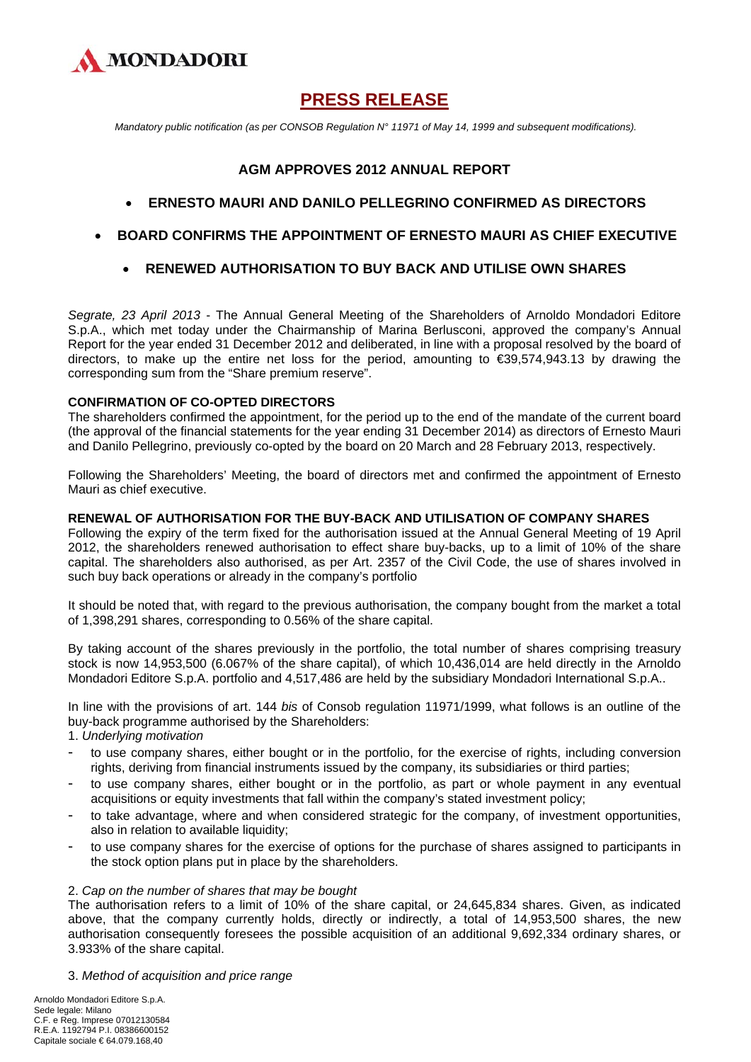

# **PRESS RELEASE**

 *Mandatory public notification (as per CONSOB Regulation N° 11971 of May 14, 1999 and subsequent modifications).* 

# **AGM APPROVES 2012 ANNUAL REPORT**

- **ERNESTO MAURI AND DANILO PELLEGRINO CONFIRMED AS DIRECTORS**
- **BOARD CONFIRMS THE APPOINTMENT OF ERNESTO MAURI AS CHIEF EXECUTIVE** 
	- **RENEWED AUTHORISATION TO BUY BACK AND UTILISE OWN SHARES**

*Segrate, 23 April 2013* - The Annual General Meeting of the Shareholders of Arnoldo Mondadori Editore S.p.A., which met today under the Chairmanship of Marina Berlusconi, approved the company's Annual Report for the year ended 31 December 2012 and deliberated, in line with a proposal resolved by the board of directors, to make up the entire net loss for the period, amounting to €39,574,943.13 by drawing the corresponding sum from the "Share premium reserve".

# **CONFIRMATION OF CO-OPTED DIRECTORS**

The shareholders confirmed the appointment, for the period up to the end of the mandate of the current board (the approval of the financial statements for the year ending 31 December 2014) as directors of Ernesto Mauri and Danilo Pellegrino, previously co-opted by the board on 20 March and 28 February 2013, respectively.

Following the Shareholders' Meeting, the board of directors met and confirmed the appointment of Ernesto Mauri as chief executive.

#### **RENEWAL OF AUTHORISATION FOR THE BUY-BACK AND UTILISATION OF COMPANY SHARES**

Following the expiry of the term fixed for the authorisation issued at the Annual General Meeting of 19 April 2012, the shareholders renewed authorisation to effect share buy-backs, up to a limit of 10% of the share capital. The shareholders also authorised, as per Art. 2357 of the Civil Code, the use of shares involved in such buy back operations or already in the company's portfolio

It should be noted that, with regard to the previous authorisation, the company bought from the market a total of 1,398,291 shares, corresponding to 0.56% of the share capital.

By taking account of the shares previously in the portfolio, the total number of shares comprising treasury stock is now 14,953,500 (6.067% of the share capital), of which 10,436,014 are held directly in the Arnoldo Mondadori Editore S.p.A. portfolio and 4,517,486 are held by the subsidiary Mondadori International S.p.A..

In line with the provisions of art. 144 *bis* of Consob regulation 11971/1999, what follows is an outline of the buy-back programme authorised by the Shareholders:

1. *Underlying motivation*

- to use company shares, either bought or in the portfolio, for the exercise of rights, including conversion rights, deriving from financial instruments issued by the company, its subsidiaries or third parties;
- to use company shares, either bought or in the portfolio, as part or whole payment in any eventual acquisitions or equity investments that fall within the company's stated investment policy;
- to take advantage, where and when considered strategic for the company, of investment opportunities, also in relation to available liquidity;
- to use company shares for the exercise of options for the purchase of shares assigned to participants in the stock option plans put in place by the shareholders.

#### 2. *Cap on the number of shares that may be bought*

The authorisation refers to a limit of 10% of the share capital, or 24,645,834 shares. Given, as indicated above, that the company currently holds, directly or indirectly, a total of 14,953,500 shares, the new authorisation consequently foresees the possible acquisition of an additional 9,692,334 ordinary shares, or 3.933% of the share capital.

3. *Method of acquisition and price range*

Arnoldo Mondadori Editore S.p.A. Sede legale: Milano C.F. e Reg. Imprese 07012130584 R.E.A. 1192794 P.I. 08386600152 Capitale sociale € 64.079.168,40